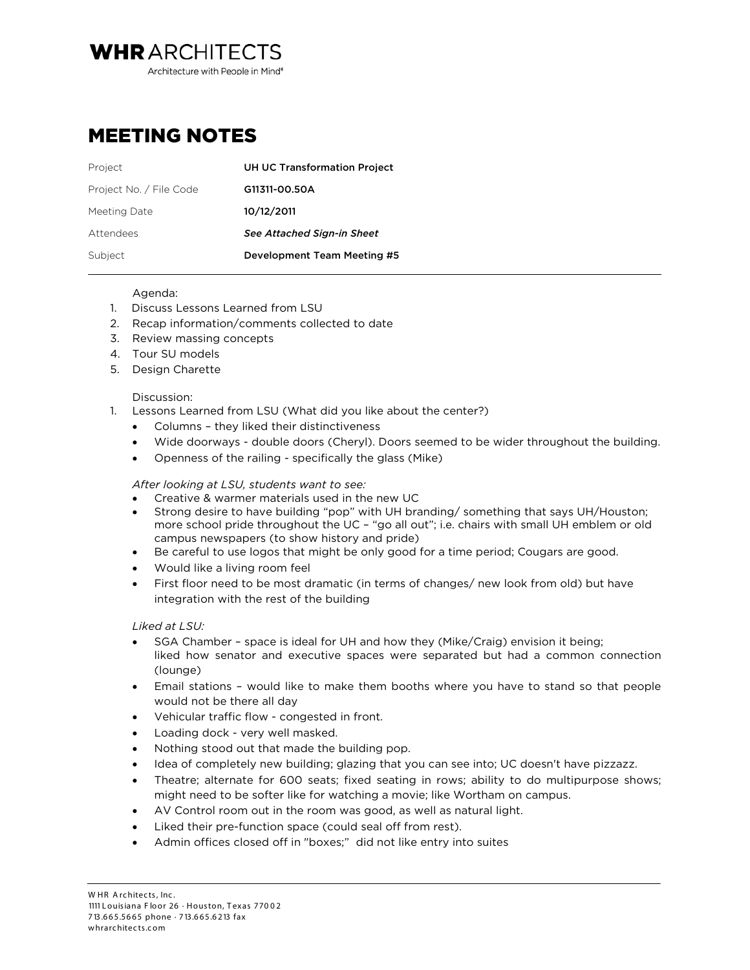Architecture with People in Mind<sup>®</sup>

## MEETING NOTES

**WHRARCHITECTS** 

| Project                 | <b>UH UC Transformation Project</b> |
|-------------------------|-------------------------------------|
| Project No. / File Code | G11311-00.50A                       |
| Meeting Date            | 10/12/2011                          |
| Attendees               | See Attached Sign-in Sheet          |
| Subject                 | Development Team Meeting #5         |

## Agenda:

- 1. Discuss Lessons Learned from LSU
- 2. Recap information/comments collected to date
- 3. Review massing concepts
- 4. Tour SU models
- 5. Design Charette

## Discussion:

- 1. Lessons Learned from LSU (What did you like about the center?)
	- Columns they liked their distinctiveness
	- Wide doorways double doors (Cheryl). Doors seemed to be wider throughout the building.
	- Openness of the railing specifically the glass (Mike)

*After looking at LSU, students want to see:*

- Creative & warmer materials used in the new UC
- Strong desire to have building "pop" with UH branding/ something that says UH/Houston; more school pride throughout the UC – "go all out"; i.e. chairs with small UH emblem or old campus newspapers (to show history and pride)
- Be careful to use logos that might be only good for a time period; Cougars are good.
- Would like a living room feel
- First floor need to be most dramatic (in terms of changes/ new look from old) but have integration with the rest of the building

## *Liked at LSU:*

- SGA Chamber space is ideal for UH and how they (Mike/Craig) envision it being; liked how senator and executive spaces were separated but had a common connection (lounge)
- Email stations would like to make them booths where you have to stand so that people would not be there all day
- Vehicular traffic flow congested in front.
- Loading dock very well masked.
- Nothing stood out that made the building pop.
- Idea of completely new building; glazing that you can see into; UC doesn't have pizzazz.
- Theatre; alternate for 600 seats; fixed seating in rows; ability to do multipurpose shows; might need to be softer like for watching a movie; like Wortham on campus.
- AV Control room out in the room was good, as well as natural light.
- Liked their pre-function space (could seal off from rest).
- Admin offices closed off in "boxes;" did not like entry into suites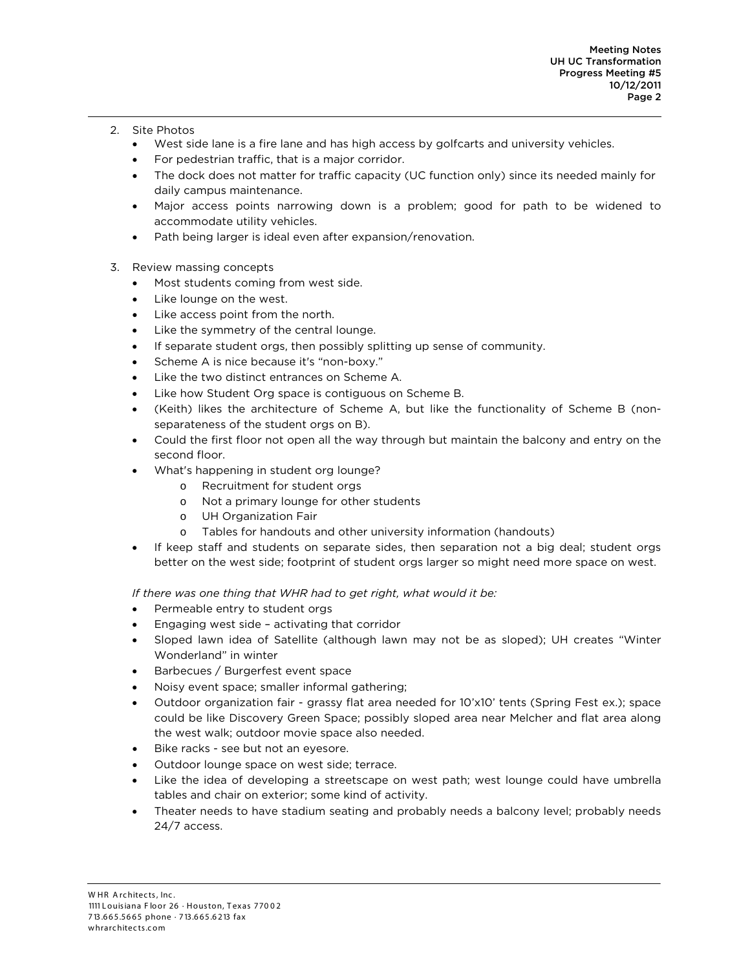- 2. Site Photos
	- West side lane is a fire lane and has high access by golfcarts and university vehicles.
	- For pedestrian traffic, that is a major corridor.
	- The dock does not matter for traffic capacity (UC function only) since its needed mainly for daily campus maintenance.
	- Major access points narrowing down is a problem; good for path to be widened to accommodate utility vehicles.
	- Path being larger is ideal even after expansion/renovation.
- 3. Review massing concepts
	- Most students coming from west side.
	- Like lounge on the west.
	- Like access point from the north.
	- Like the symmetry of the central lounge.
	- If separate student orgs, then possibly splitting up sense of community.
	- Scheme A is nice because it's "non-boxy."
	- Like the two distinct entrances on Scheme A.
	- Like how Student Org space is contiguous on Scheme B.
	- (Keith) likes the architecture of Scheme A, but like the functionality of Scheme B (nonseparateness of the student orgs on B).
	- Could the first floor not open all the way through but maintain the balcony and entry on the second floor.
	- What's happening in student org lounge?
		- o Recruitment for student orgs
		- o Not a primary lounge for other students
		- o UH Organization Fair
		- o Tables for handouts and other university information (handouts)
	- If keep staff and students on separate sides, then separation not a big deal; student orgs better on the west side; footprint of student orgs larger so might need more space on west.

*If there was one thing that WHR had to get right, what would it be:*

- Permeable entry to student orgs
- Engaging west side activating that corridor
- Sloped lawn idea of Satellite (although lawn may not be as sloped); UH creates "Winter Wonderland" in winter
- Barbecues / Burgerfest event space
- Noisy event space; smaller informal gathering;
- Outdoor organization fair grassy flat area needed for 10'x10' tents (Spring Fest ex.); space could be like Discovery Green Space; possibly sloped area near Melcher and flat area along the west walk; outdoor movie space also needed.
- Bike racks see but not an eyesore.
- Outdoor lounge space on west side; terrace.
- Like the idea of developing a streetscape on west path; west lounge could have umbrella tables and chair on exterior; some kind of activity.
- Theater needs to have stadium seating and probably needs a balcony level; probably needs 24/7 access.